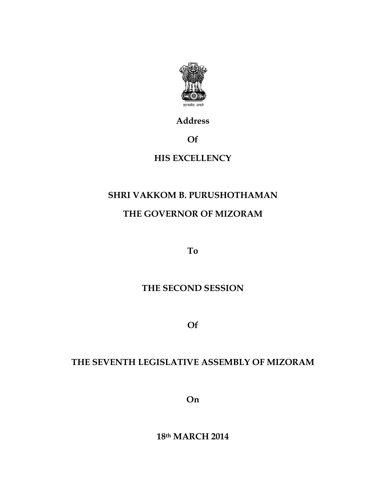

Address

Of

## HIS EXCELLENCY

## SHRI VAKKOM B. PURUSHOTHAMAN

# THE GOVERNOR OF MIZORAM

To

#### THE SECOND SESSION

Of

## THE SEVENTH LEGISLATIVE ASSEMBLY OF MIZORAM

On

18th MARCH 2014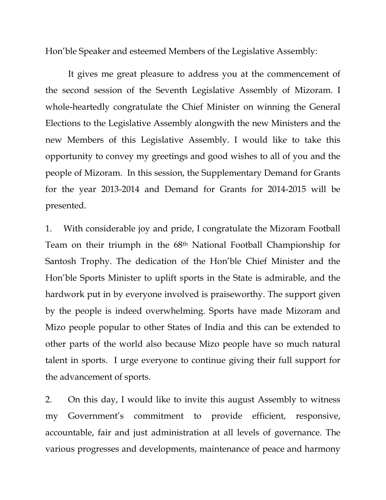Hon'ble Speaker and esteemed Members of the Legislative Assembly:

 It gives me great pleasure to address you at the commencement of the second session of the Seventh Legislative Assembly of Mizoram. I whole-heartedly congratulate the Chief Minister on winning the General Elections to the Legislative Assembly alongwith the new Ministers and the new Members of this Legislative Assembly. I would like to take this opportunity to convey my greetings and good wishes to all of you and the people of Mizoram. In this session, the Supplementary Demand for Grants for the year 2013-2014 and Demand for Grants for 2014-2015 will be presented.

1. With considerable joy and pride, I congratulate the Mizoram Football Team on their triumph in the 68th National Football Championship for Santosh Trophy. The dedication of the Hon'ble Chief Minister and the Hon'ble Sports Minister to uplift sports in the State is admirable, and the hardwork put in by everyone involved is praiseworthy. The support given by the people is indeed overwhelming. Sports have made Mizoram and Mizo people popular to other States of India and this can be extended to other parts of the world also because Mizo people have so much natural talent in sports. I urge everyone to continue giving their full support for the advancement of sports.

2. On this day, I would like to invite this august Assembly to witness my Government's commitment to provide efficient, responsive, accountable, fair and just administration at all levels of governance. The various progresses and developments, maintenance of peace and harmony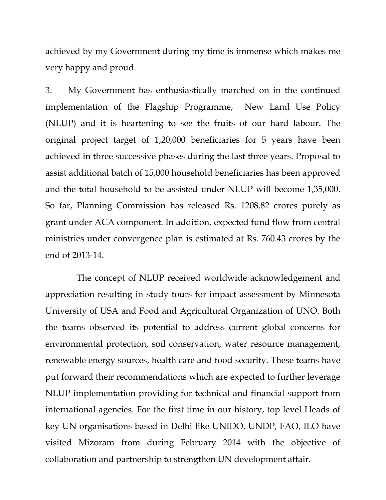achieved by my Government during my time is immense which makes me very happy and proud.

3. My Government has enthusiastically marched on in the continued implementation of the Flagship Programme, New Land Use Policy (NLUP) and it is heartening to see the fruits of our hard labour. The original project target of 1,20,000 beneficiaries for 5 years have been achieved in three successive phases during the last three years. Proposal to assist additional batch of 15,000 household beneficiaries has been approved and the total household to be assisted under NLUP will become 1,35,000. So far, Planning Commission has released Rs. 1208.82 crores purely as grant under ACA component. In addition, expected fund flow from central ministries under convergence plan is estimated at Rs. 760.43 crores by the end of 2013-14.

 The concept of NLUP received worldwide acknowledgement and appreciation resulting in study tours for impact assessment by Minnesota University of USA and Food and Agricultural Organization of UNO. Both the teams observed its potential to address current global concerns for environmental protection, soil conservation, water resource management, renewable energy sources, health care and food security. These teams have put forward their recommendations which are expected to further leverage NLUP implementation providing for technical and financial support from international agencies. For the first time in our history, top level Heads of key UN organisations based in Delhi like UNIDO, UNDP, FAO, ILO have visited Mizoram from during February 2014 with the objective of collaboration and partnership to strengthen UN development affair.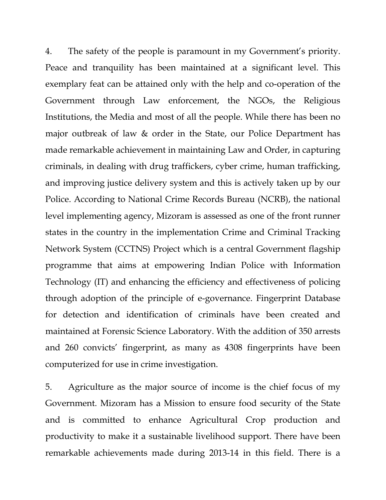4. The safety of the people is paramount in my Government's priority. Peace and tranquility has been maintained at a significant level. This exemplary feat can be attained only with the help and co-operation of the Government through Law enforcement, the NGOs, the Religious Institutions, the Media and most of all the people. While there has been no major outbreak of law & order in the State, our Police Department has made remarkable achievement in maintaining Law and Order, in capturing criminals, in dealing with drug traffickers, cyber crime, human trafficking, and improving justice delivery system and this is actively taken up by our Police. According to National Crime Records Bureau (NCRB), the national level implementing agency, Mizoram is assessed as one of the front runner states in the country in the implementation Crime and Criminal Tracking Network System (CCTNS) Project which is a central Government flagship programme that aims at empowering Indian Police with Information Technology (IT) and enhancing the efficiency and effectiveness of policing through adoption of the principle of e-governance. Fingerprint Database for detection and identification of criminals have been created and maintained at Forensic Science Laboratory. With the addition of 350 arrests and 260 convicts' fingerprint, as many as 4308 fingerprints have been computerized for use in crime investigation.

5. Agriculture as the major source of income is the chief focus of my Government. Mizoram has a Mission to ensure food security of the State and is committed to enhance Agricultural Crop production and productivity to make it a sustainable livelihood support. There have been remarkable achievements made during 2013-14 in this field. There is a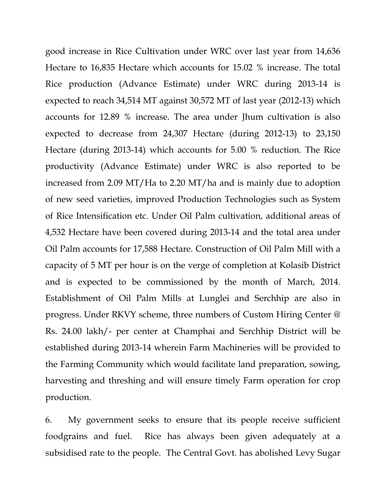good increase in Rice Cultivation under WRC over last year from 14,636 Hectare to 16,835 Hectare which accounts for 15.02 % increase. The total Rice production (Advance Estimate) under WRC during 2013-14 is expected to reach 34,514 MT against 30,572 MT of last year (2012-13) which accounts for 12.89 % increase. The area under Jhum cultivation is also expected to decrease from 24,307 Hectare (during 2012-13) to 23,150 Hectare (during 2013-14) which accounts for 5.00 % reduction. The Rice productivity (Advance Estimate) under WRC is also reported to be increased from 2.09 MT/Ha to 2.20 MT/ha and is mainly due to adoption of new seed varieties, improved Production Technologies such as System of Rice Intensification etc. Under Oil Palm cultivation, additional areas of 4,532 Hectare have been covered during 2013-14 and the total area under Oil Palm accounts for 17,588 Hectare. Construction of Oil Palm Mill with a capacity of 5 MT per hour is on the verge of completion at Kolasib District and is expected to be commissioned by the month of March, 2014. Establishment of Oil Palm Mills at Lunglei and Serchhip are also in progress. Under RKVY scheme, three numbers of Custom Hiring Center @ Rs. 24.00 lakh/- per center at Champhai and Serchhip District will be established during 2013-14 wherein Farm Machineries will be provided to the Farming Community which would facilitate land preparation, sowing, harvesting and threshing and will ensure timely Farm operation for crop production.

6. My government seeks to ensure that its people receive sufficient foodgrains and fuel. Rice has always been given adequately at a subsidised rate to the people. The Central Govt. has abolished Levy Sugar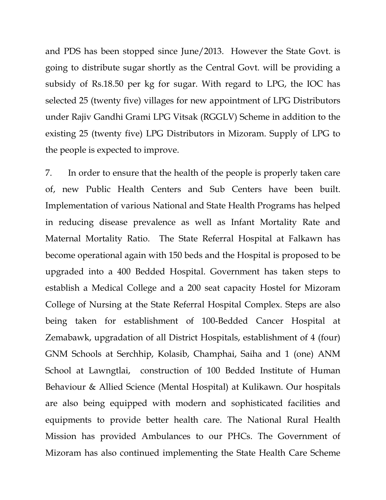and PDS has been stopped since June/2013. However the State Govt. is going to distribute sugar shortly as the Central Govt. will be providing a subsidy of Rs.18.50 per kg for sugar. With regard to LPG, the IOC has selected 25 (twenty five) villages for new appointment of LPG Distributors under Rajiv Gandhi Grami LPG Vitsak (RGGLV) Scheme in addition to the existing 25 (twenty five) LPG Distributors in Mizoram. Supply of LPG to the people is expected to improve.

7. In order to ensure that the health of the people is properly taken care of, new Public Health Centers and Sub Centers have been built. Implementation of various National and State Health Programs has helped in reducing disease prevalence as well as Infant Mortality Rate and Maternal Mortality Ratio. The State Referral Hospital at Falkawn has become operational again with 150 beds and the Hospital is proposed to be upgraded into a 400 Bedded Hospital. Government has taken steps to establish a Medical College and a 200 seat capacity Hostel for Mizoram College of Nursing at the State Referral Hospital Complex. Steps are also being taken for establishment of 100-Bedded Cancer Hospital at Zemabawk, upgradation of all District Hospitals, establishment of 4 (four) GNM Schools at Serchhip, Kolasib, Champhai, Saiha and 1 (one) ANM School at Lawngtlai, construction of 100 Bedded Institute of Human Behaviour & Allied Science (Mental Hospital) at Kulikawn. Our hospitals are also being equipped with modern and sophisticated facilities and equipments to provide better health care. The National Rural Health Mission has provided Ambulances to our PHCs. The Government of Mizoram has also continued implementing the State Health Care Scheme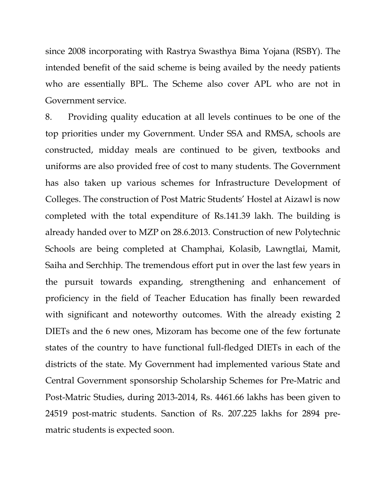since 2008 incorporating with Rastrya Swasthya Bima Yojana (RSBY). The intended benefit of the said scheme is being availed by the needy patients who are essentially BPL. The Scheme also cover APL who are not in Government service.

8. Providing quality education at all levels continues to be one of the top priorities under my Government. Under SSA and RMSA, schools are constructed, midday meals are continued to be given, textbooks and uniforms are also provided free of cost to many students. The Government has also taken up various schemes for Infrastructure Development of Colleges. The construction of Post Matric Students' Hostel at Aizawl is now completed with the total expenditure of Rs.141.39 lakh. The building is already handed over to MZP on 28.6.2013. Construction of new Polytechnic Schools are being completed at Champhai, Kolasib, Lawngtlai, Mamit, Saiha and Serchhip. The tremendous effort put in over the last few years in the pursuit towards expanding, strengthening and enhancement of proficiency in the field of Teacher Education has finally been rewarded with significant and noteworthy outcomes. With the already existing 2 DIETs and the 6 new ones, Mizoram has become one of the few fortunate states of the country to have functional full-fledged DIETs in each of the districts of the state. My Government had implemented various State and Central Government sponsorship Scholarship Schemes for Pre-Matric and Post-Matric Studies, during 2013-2014, Rs. 4461.66 lakhs has been given to 24519 post-matric students. Sanction of Rs. 207.225 lakhs for 2894 prematric students is expected soon.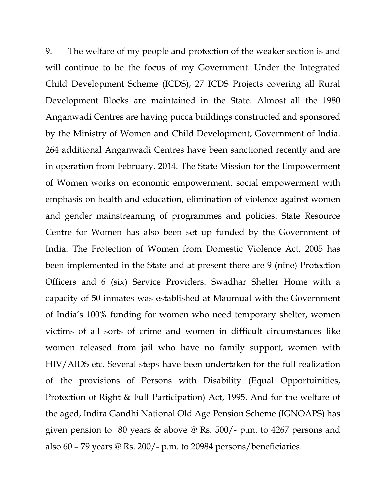9. The welfare of my people and protection of the weaker section is and will continue to be the focus of my Government. Under the Integrated Child Development Scheme (ICDS), 27 ICDS Projects covering all Rural Development Blocks are maintained in the State. Almost all the 1980 Anganwadi Centres are having pucca buildings constructed and sponsored by the Ministry of Women and Child Development, Government of India. 264 additional Anganwadi Centres have been sanctioned recently and are in operation from February, 2014. The State Mission for the Empowerment of Women works on economic empowerment, social empowerment with emphasis on health and education, elimination of violence against women and gender mainstreaming of programmes and policies. State Resource Centre for Women has also been set up funded by the Government of India. The Protection of Women from Domestic Violence Act, 2005 has been implemented in the State and at present there are 9 (nine) Protection Officers and 6 (six) Service Providers. Swadhar Shelter Home with a capacity of 50 inmates was established at Maumual with the Government of India's 100% funding for women who need temporary shelter, women victims of all sorts of crime and women in difficult circumstances like women released from jail who have no family support, women with HIV/AIDS etc. Several steps have been undertaken for the full realization of the provisions of Persons with Disability (Equal Opportuinities, Protection of Right & Full Participation) Act, 1995. And for the welfare of the aged, Indira Gandhi National Old Age Pension Scheme (IGNOAPS) has given pension to 80 years & above @ Rs. 500/- p.m. to 4267 persons and also 60 – 79 years  $\mathcal Q$  Rs. 200/- p.m. to 20984 persons/beneficiaries.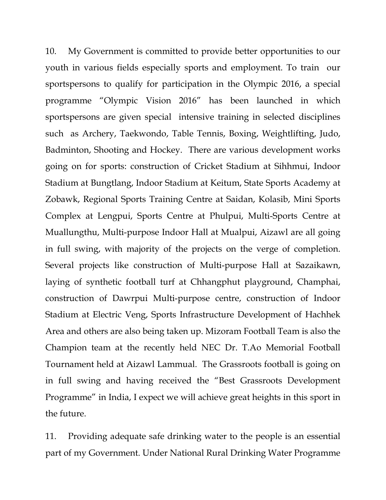10. My Government is committed to provide better opportunities to our youth in various fields especially sports and employment. To train our sportspersons to qualify for participation in the Olympic 2016, a special programme "Olympic Vision 2016" has been launched in which sportspersons are given special intensive training in selected disciplines such as Archery, Taekwondo, Table Tennis, Boxing, Weightlifting, Judo, Badminton, Shooting and Hockey. There are various development works going on for sports: construction of Cricket Stadium at Sihhmui, Indoor Stadium at Bungtlang, Indoor Stadium at Keitum, State Sports Academy at Zobawk, Regional Sports Training Centre at Saidan, Kolasib, Mini Sports Complex at Lengpui, Sports Centre at Phulpui, Multi-Sports Centre at Muallungthu, Multi-purpose Indoor Hall at Mualpui, Aizawl are all going in full swing, with majority of the projects on the verge of completion. Several projects like construction of Multi-purpose Hall at Sazaikawn, laying of synthetic football turf at Chhangphut playground, Champhai, construction of Dawrpui Multi-purpose centre, construction of Indoor Stadium at Electric Veng, Sports Infrastructure Development of Hachhek Area and others are also being taken up. Mizoram Football Team is also the Champion team at the recently held NEC Dr. T.Ao Memorial Football Tournament held at Aizawl Lammual. The Grassroots football is going on in full swing and having received the "Best Grassroots Development Programme" in India, I expect we will achieve great heights in this sport in the future.

11. Providing adequate safe drinking water to the people is an essential part of my Government. Under National Rural Drinking Water Programme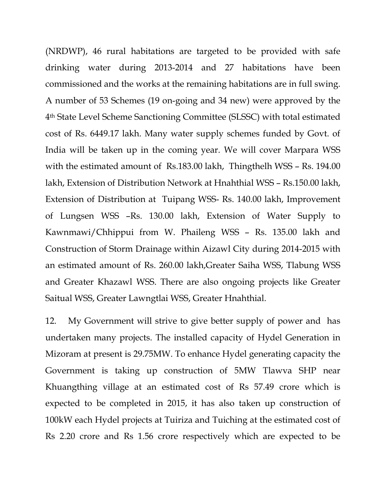(NRDWP), 46 rural habitations are targeted to be provided with safe drinking water during 2013-2014 and 27 habitations have been commissioned and the works at the remaining habitations are in full swing. A number of 53 Schemes (19 on-going and 34 new) were approved by the 4th State Level Scheme Sanctioning Committee (SLSSC) with total estimated cost of Rs. 6449.17 lakh. Many water supply schemes funded by Govt. of India will be taken up in the coming year. We will cover Marpara WSS with the estimated amount of Rs.183.00 lakh, Thingthelh WSS – Rs. 194.00 lakh, Extension of Distribution Network at Hnahthial WSS – Rs.150.00 lakh, Extension of Distribution at Tuipang WSS- Rs. 140.00 lakh, Improvement of Lungsen WSS –Rs. 130.00 lakh, Extension of Water Supply to Kawnmawi/Chhippui from W. Phaileng WSS – Rs. 135.00 lakh and Construction of Storm Drainage within Aizawl City during 2014-2015 with an estimated amount of Rs. 260.00 lakh,Greater Saiha WSS, Tlabung WSS and Greater Khazawl WSS. There are also ongoing projects like Greater Saitual WSS, Greater Lawngtlai WSS, Greater Hnahthial.

12. My Government will strive to give better supply of power and has undertaken many projects. The installed capacity of Hydel Generation in Mizoram at present is 29.75MW. To enhance Hydel generating capacity the Government is taking up construction of 5MW Tlawva SHP near Khuangthing village at an estimated cost of Rs 57.49 crore which is expected to be completed in 2015, it has also taken up construction of 100kW each Hydel projects at Tuiriza and Tuiching at the estimated cost of Rs 2.20 crore and Rs 1.56 crore respectively which are expected to be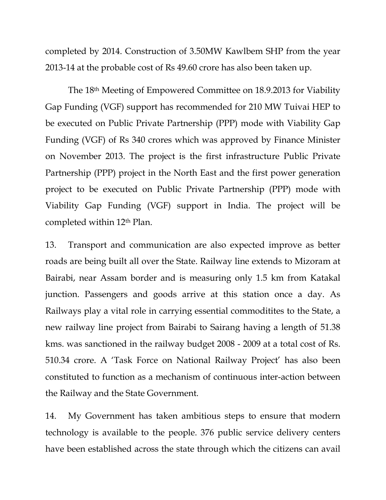completed by 2014. Construction of 3.50MW Kawlbem SHP from the year 2013-14 at the probable cost of Rs 49.60 crore has also been taken up.

 The 18th Meeting of Empowered Committee on 18.9.2013 for Viability Gap Funding (VGF) support has recommended for 210 MW Tuivai HEP to be executed on Public Private Partnership (PPP) mode with Viability Gap Funding (VGF) of Rs 340 crores which was approved by Finance Minister on November 2013. The project is the first infrastructure Public Private Partnership (PPP) project in the North East and the first power generation project to be executed on Public Private Partnership (PPP) mode with Viability Gap Funding (VGF) support in India. The project will be completed within 12th Plan.

13. Transport and communication are also expected improve as better roads are being built all over the State. Railway line extends to Mizoram at Bairabi, near Assam border and is measuring only 1.5 km from Katakal junction. Passengers and goods arrive at this station once a day. As Railways play a vital role in carrying essential commoditites to the State, a new railway line project from Bairabi to Sairang having a length of 51.38 kms. was sanctioned in the railway budget 2008 - 2009 at a total cost of Rs. 510.34 crore. A 'Task Force on National Railway Project' has also been constituted to function as a mechanism of continuous inter-action between the Railway and the State Government.

14. My Government has taken ambitious steps to ensure that modern technology is available to the people. 376 public service delivery centers have been established across the state through which the citizens can avail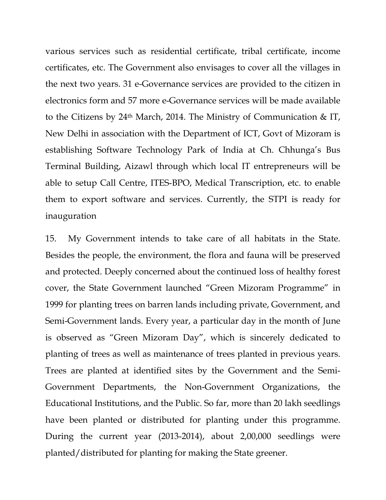various services such as residential certificate, tribal certificate, income certificates, etc. The Government also envisages to cover all the villages in the next two years. 31 e-Governance services are provided to the citizen in electronics form and 57 more e-Governance services will be made available to the Citizens by 24th March, 2014. The Ministry of Communication & IT, New Delhi in association with the Department of ICT, Govt of Mizoram is establishing Software Technology Park of India at Ch. Chhunga's Bus Terminal Building, Aizawl through which local IT entrepreneurs will be able to setup Call Centre, ITES-BPO, Medical Transcription, etc. to enable them to export software and services. Currently, the STPI is ready for inauguration

15. My Government intends to take care of all habitats in the State. Besides the people, the environment, the flora and fauna will be preserved and protected. Deeply concerned about the continued loss of healthy forest cover, the State Government launched "Green Mizoram Programme" in 1999 for planting trees on barren lands including private, Government, and Semi-Government lands. Every year, a particular day in the month of June is observed as "Green Mizoram Day", which is sincerely dedicated to planting of trees as well as maintenance of trees planted in previous years. Trees are planted at identified sites by the Government and the Semi-Government Departments, the Non-Government Organizations, the Educational Institutions, and the Public. So far, more than 20 lakh seedlings have been planted or distributed for planting under this programme. During the current year (2013-2014), about 2,00,000 seedlings were planted/distributed for planting for making the State greener.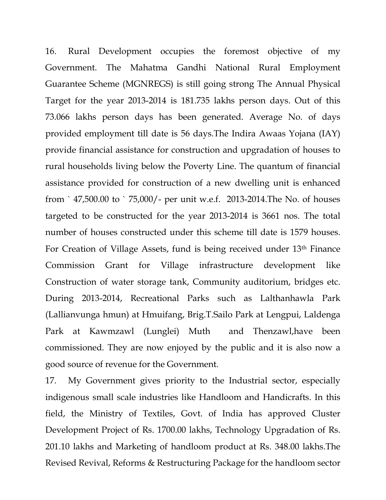16. Rural Development occupies the foremost objective of my Government. The Mahatma Gandhi National Rural Employment Guarantee Scheme (MGNREGS) is still going strong The Annual Physical Target for the year 2013-2014 is 181.735 lakhs person days. Out of this 73.066 lakhs person days has been generated. Average No. of days provided employment till date is 56 days.The Indira Awaas Yojana (IAY) provide financial assistance for construction and upgradation of houses to rural households living below the Poverty Line. The quantum of financial assistance provided for construction of a new dwelling unit is enhanced from ` 47,500.00 to ` 75,000/- per unit w.e.f. 2013-2014.The No. of houses targeted to be constructed for the year 2013-2014 is 3661 nos. The total number of houses constructed under this scheme till date is 1579 houses. For Creation of Village Assets, fund is being received under 13th Finance Commission Grant for Village infrastructure development like Construction of water storage tank, Community auditorium, bridges etc. During 2013-2014, Recreational Parks such as Lalthanhawla Park (Lallianvunga hmun) at Hmuifang, Brig.T.Sailo Park at Lengpui, Laldenga Park at Kawmzawl (Lunglei) Muth and Thenzawl,have been commissioned. They are now enjoyed by the public and it is also now a good source of revenue for the Government.

17. My Government gives priority to the Industrial sector, especially indigenous small scale industries like Handloom and Handicrafts. In this field, the Ministry of Textiles, Govt. of India has approved Cluster Development Project of Rs. 1700.00 lakhs, Technology Upgradation of Rs. 201.10 lakhs and Marketing of handloom product at Rs. 348.00 lakhs.The Revised Revival, Reforms & Restructuring Package for the handloom sector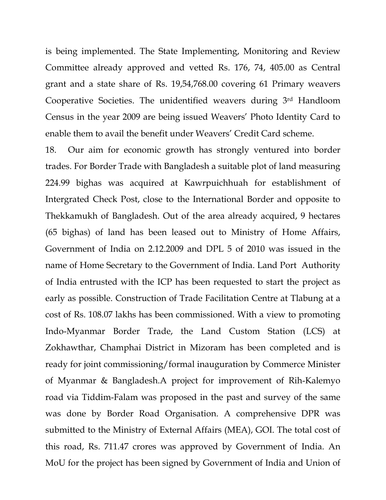is being implemented. The State Implementing, Monitoring and Review Committee already approved and vetted Rs. 176, 74, 405.00 as Central grant and a state share of Rs. 19,54,768.00 covering 61 Primary weavers Cooperative Societies. The unidentified weavers during 3rd Handloom Census in the year 2009 are being issued Weavers' Photo Identity Card to enable them to avail the benefit under Weavers' Credit Card scheme.

18. Our aim for economic growth has strongly ventured into border trades. For Border Trade with Bangladesh a suitable plot of land measuring 224.99 bighas was acquired at Kawrpuichhuah for establishment of Intergrated Check Post, close to the International Border and opposite to Thekkamukh of Bangladesh. Out of the area already acquired, 9 hectares (65 bighas) of land has been leased out to Ministry of Home Affairs, Government of India on 2.12.2009 and DPL 5 of 2010 was issued in the name of Home Secretary to the Government of India. Land Port Authority of India entrusted with the ICP has been requested to start the project as early as possible. Construction of Trade Facilitation Centre at Tlabung at a cost of Rs. 108.07 lakhs has been commissioned. With a view to promoting Indo-Myanmar Border Trade, the Land Custom Station (LCS) at Zokhawthar, Champhai District in Mizoram has been completed and is ready for joint commissioning/formal inauguration by Commerce Minister of Myanmar & Bangladesh.A project for improvement of Rih-Kalemyo road via Tiddim-Falam was proposed in the past and survey of the same was done by Border Road Organisation. A comprehensive DPR was submitted to the Ministry of External Affairs (MEA), GOI. The total cost of this road, Rs. 711.47 crores was approved by Government of India. An MoU for the project has been signed by Government of India and Union of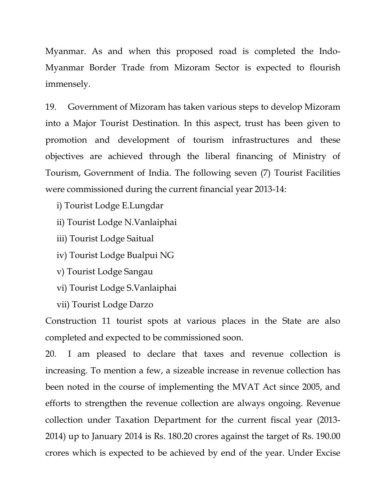Myanmar. As and when this proposed road is completed the Indo-Myanmar Border Trade from Mizoram Sector is expected to flourish immensely.

19. Government of Mizoram has taken various steps to develop Mizoram into a Major Tourist Destination. In this aspect, trust has been given to promotion and development of tourism infrastructures and these objectives are achieved through the liberal financing of Ministry of Tourism, Government of India. The following seven (7) Tourist Facilities were commissioned during the current financial year 2013-14:

- i) Tourist Lodge E.Lungdar
- ii) Tourist Lodge N.Vanlaiphai
- iii) Tourist Lodge Saitual
- iv) Tourist Lodge Bualpui NG
- v) Tourist Lodge Sangau
- vi) Tourist Lodge S.Vanlaiphai
- vii) Tourist Lodge Darzo

Construction 11 tourist spots at various places in the State are also completed and expected to be commissioned soon.

20. I am pleased to declare that taxes and revenue collection is increasing. To mention a few, a sizeable increase in revenue collection has been noted in the course of implementing the MVAT Act since 2005, and efforts to strengthen the revenue collection are always ongoing. Revenue collection under Taxation Department for the current fiscal year (2013- 2014) up to January 2014 is Rs. 180.20 crores against the target of Rs. 190.00 crores which is expected to be achieved by end of the year. Under Excise